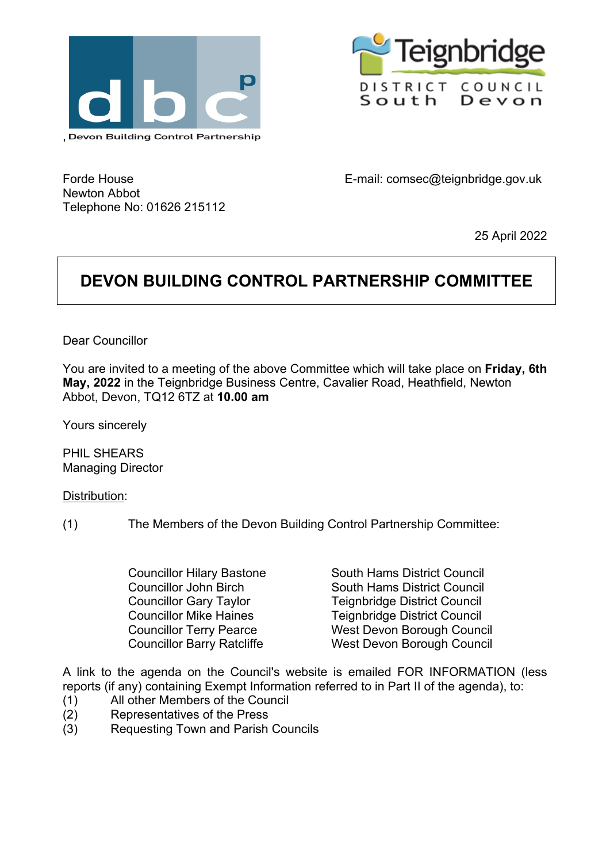



Forde House Newton Abbot Telephone No: 01626 215112 E-mail: comsec@teignbridge.gov.uk

25 April 2022

# **DEVON BUILDING CONTROL PARTNERSHIP COMMITTEE**

Dear Councillor

You are invited to a meeting of the above Committee which will take place on **Friday, 6th May, 2022** in the Teignbridge Business Centre, Cavalier Road, Heathfield, Newton Abbot, Devon, TQ12 6TZ at **10.00 am**

Yours sincerely

PHIL SHEARS Managing Director

Distribution:

(1) The Members of the Devon Building Control Partnership Committee:

Councillor Hilary Bastone South Hams District Council Councillor John Birch South Hams District Council Councillor Gary Taylor Teignbridge District Council Councillor Mike Haines Teignbridge District Council Councillor Terry Pearce West Devon Borough Council Councillor Barry Ratcliffe West Devon Borough Council

A link to the agenda on the Council's website is emailed FOR INFORMATION (less reports (if any) containing Exempt Information referred to in Part II of the agenda), to:

- (1) All other Members of the Council
- (2) Representatives of the Press
- (3) Requesting Town and Parish Councils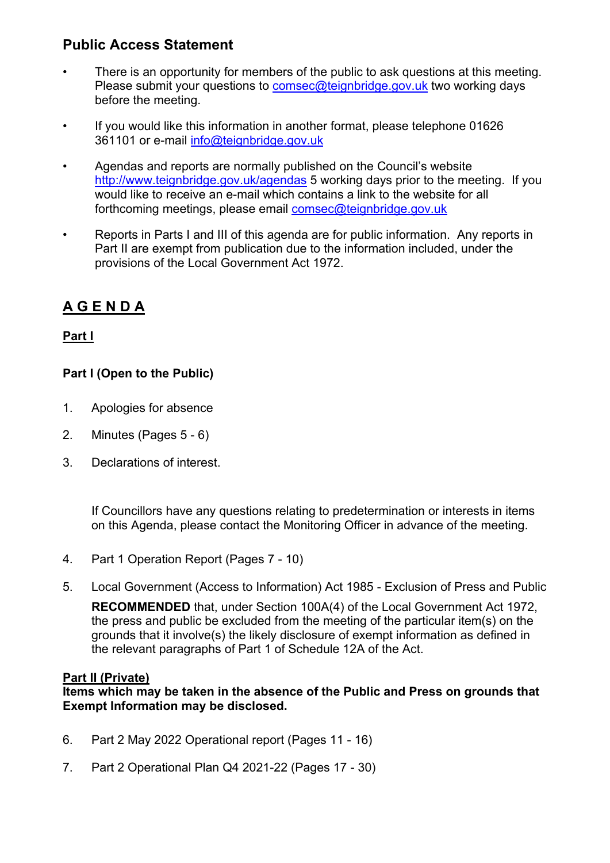### **Public Access Statement**

- There is an opportunity for members of the public to ask questions at this meeting. Please submit your questions to [comsec@teignbridge.gov.uk](mailto:comsec@teignbridge.gov.uk) two working days before the meeting.
- If you would like this information in another format, please telephone 01626 361101 or e-mail [info@teignbridge.gov.uk](mailto:info@teignbridge.gov.uk)
- Agendas and reports are normally published on the Council's website <http://www.teignbridge.gov.uk/agendas> 5 working days prior to the meeting. If you would like to receive an e-mail which contains a link to the website for all forthcoming meetings, please email [comsec@teignbridge.gov.uk](mailto:comsec@teignbridge.gov.uk)
- Reports in Parts I and III of this agenda are for public information. Any reports in Part II are exempt from publication due to the information included, under the provisions of the Local Government Act 1972.

## **A G E N D A**

#### **Part I**

#### **Part I (Open to the Public)**

- 1. Apologies for absence
- 2. Minutes (Pages 5 6)
- 3. Declarations of interest.

If Councillors have any questions relating to predetermination or interests in items on this Agenda, please contact the Monitoring Officer in advance of the meeting.

- 4. Part 1 Operation Report (Pages 7 10)
- 5. Local Government (Access to Information) Act 1985 Exclusion of Press and Public

**RECOMMENDED** that, under Section 100A(4) of the Local Government Act 1972, the press and public be excluded from the meeting of the particular item(s) on the grounds that it involve(s) the likely disclosure of exempt information as defined in the relevant paragraphs of Part 1 of Schedule 12A of the Act.

#### **Part II (Private)**

**Items which may be taken in the absence of the Public and Press on grounds that Exempt Information may be disclosed.**

- 6. Part 2 May 2022 Operational report (Pages 11 16)
- 7. Part 2 Operational Plan Q4 2021-22 (Pages 17 30)